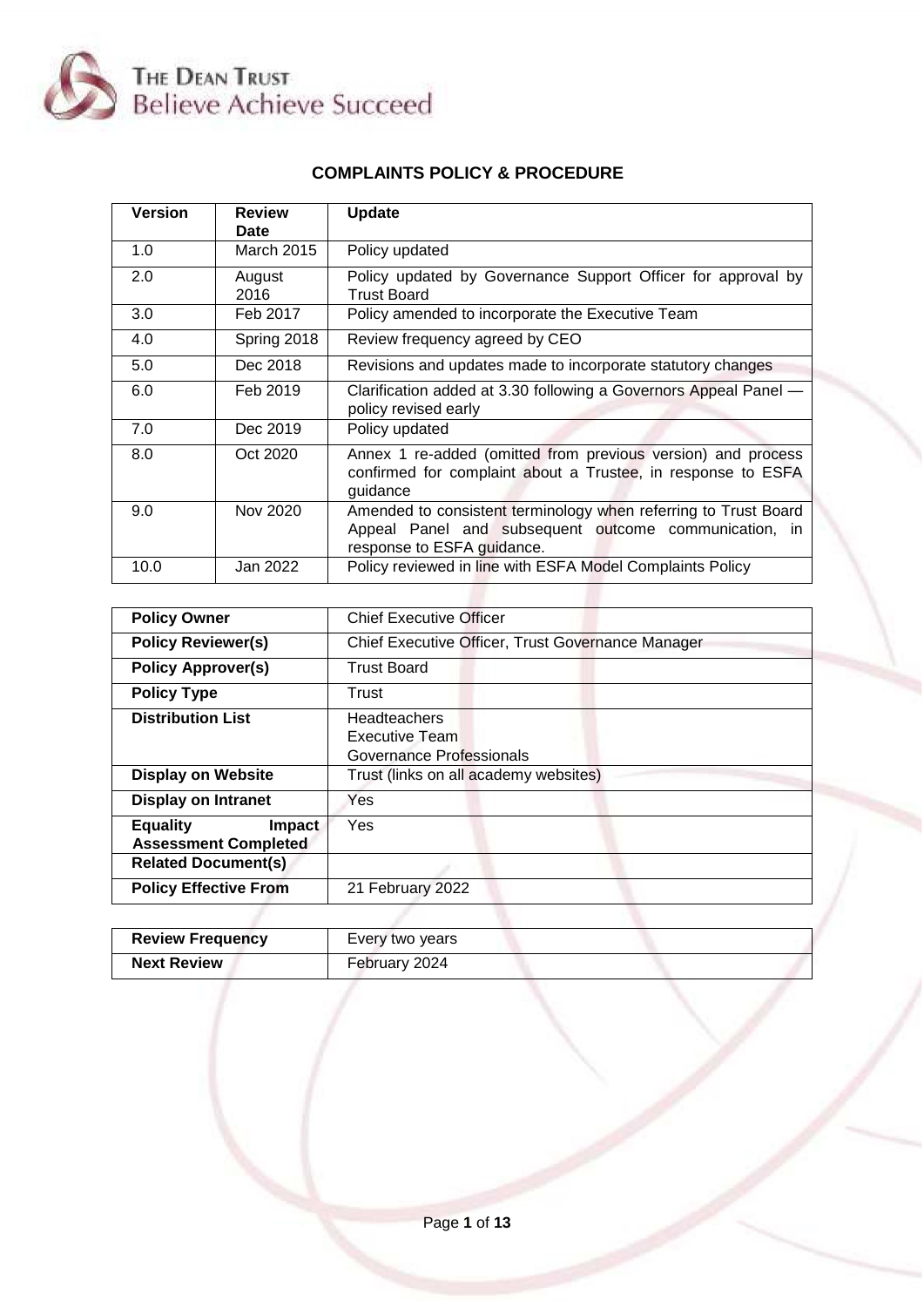

# **COMPLAINTS POLICY & PROCEDURE**

| <b>Version</b> | <b>Review</b><br>Date | <b>Update</b>                                                                                                                                          |
|----------------|-----------------------|--------------------------------------------------------------------------------------------------------------------------------------------------------|
| 1.0            | <b>March 2015</b>     | Policy updated                                                                                                                                         |
| 2.0            | August<br>2016        | Policy updated by Governance Support Officer for approval by<br><b>Trust Board</b>                                                                     |
| 3.0            | Feb 2017              | Policy amended to incorporate the Executive Team                                                                                                       |
| 4.0            | Spring 2018           | Review frequency agreed by CEO                                                                                                                         |
| 5.0            | Dec 2018              | Revisions and updates made to incorporate statutory changes                                                                                            |
| 6.0            | Feb 2019              | Clarification added at 3.30 following a Governors Appeal Panel -<br>policy revised early                                                               |
| 7.0            | Dec 2019              | Policy updated                                                                                                                                         |
| 8.0            | Oct 2020              | Annex 1 re-added (omitted from previous version) and process<br>confirmed for complaint about a Trustee, in response to ESFA<br>guidance               |
| 9.0            | Nov 2020              | Amended to consistent terminology when referring to Trust Board<br>Appeal Panel and subsequent outcome communication, in<br>response to ESFA guidance. |
| 10.0           | Jan 2022              | Policy reviewed in line with ESFA Model Complaints Policy                                                                                              |

| <b>Policy Owner</b>                                      | <b>Chief Executive Officer</b>                             |
|----------------------------------------------------------|------------------------------------------------------------|
| <b>Policy Reviewer(s)</b>                                | Chief Executive Officer, Trust Governance Manager          |
| <b>Policy Approver(s)</b>                                | <b>Trust Board</b>                                         |
| <b>Policy Type</b>                                       | Trust                                                      |
| <b>Distribution List</b>                                 | Headteachers<br>Executive Team<br>Governance Professionals |
| <b>Display on Website</b>                                | Trust (links on all academy websites)                      |
| <b>Display on Intranet</b>                               | Yes                                                        |
| <b>Equality</b><br>Impact<br><b>Assessment Completed</b> | Yes                                                        |
| <b>Related Document(s)</b>                               |                                                            |
| <b>Policy Effective From</b>                             | 21 February 2022                                           |
|                                                          |                                                            |

| <b>Review Frequency</b> | Every two years |
|-------------------------|-----------------|
| <b>Next Review</b>      | February 2024   |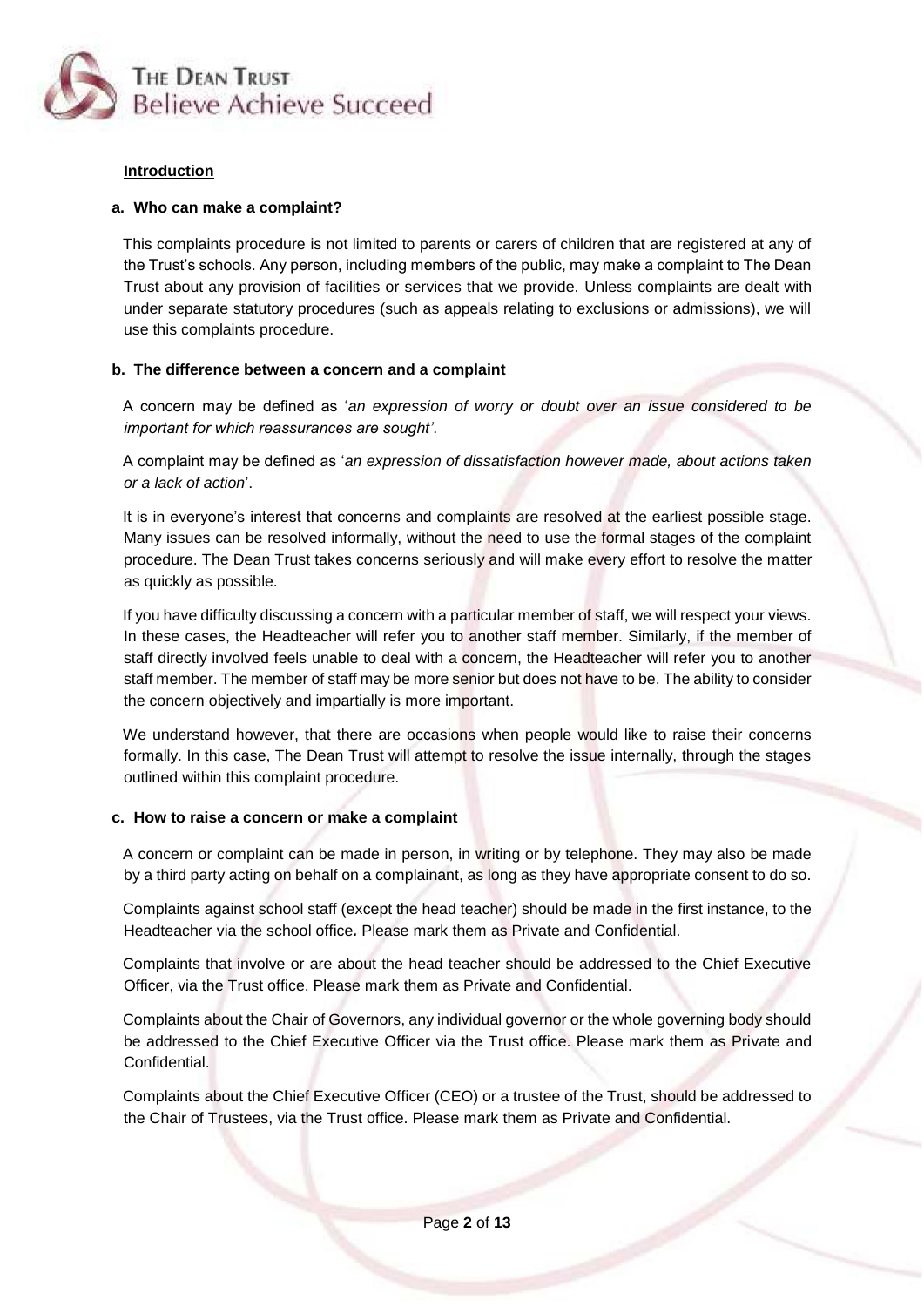

### **Introduction**

### **a. Who can make a complaint?**

This complaints procedure is not limited to parents or carers of children that are registered at any of the Trust's schools. Any person, including members of the public, may make a complaint to The Dean Trust about any provision of facilities or services that we provide. Unless complaints are dealt with under separate statutory procedures (such as appeals relating to exclusions or admissions), we will use this complaints procedure.

### **b. The difference between a concern and a complaint**

A concern may be defined as '*an expression of worry or doubt over an issue considered to be important for which reassurances are sought'*.

A complaint may be defined as '*an expression of dissatisfaction however made, about actions taken or a lack of action*'.

It is in everyone's interest that concerns and complaints are resolved at the earliest possible stage. Many issues can be resolved informally, without the need to use the formal stages of the complaint procedure. The Dean Trust takes concerns seriously and will make every effort to resolve the matter as quickly as possible.

If you have difficulty discussing a concern with a particular member of staff, we will respect your views. In these cases, the Headteacher will refer you to another staff member. Similarly, if the member of staff directly involved feels unable to deal with a concern, the Headteacher will refer you to another staff member. The member of staff may be more senior but does not have to be. The ability to consider the concern objectively and impartially is more important.

We understand however, that there are occasions when people would like to raise their concerns formally. In this case, The Dean Trust will attempt to resolve the issue internally, through the stages outlined within this complaint procedure.

#### **c. How to raise a concern or make a complaint**

A concern or complaint can be made in person, in writing or by telephone. They may also be made by a third party acting on behalf on a complainant, as long as they have appropriate consent to do so.

Complaints against school staff (except the head teacher) should be made in the first instance, to the Headteacher via the school office*.* Please mark them as Private and Confidential.

Complaints that involve or are about the head teacher should be addressed to the Chief Executive Officer, via the Trust office. Please mark them as Private and Confidential.

Complaints about the Chair of Governors, any individual governor or the whole governing body should be addressed to the Chief Executive Officer via the Trust office. Please mark them as Private and Confidential.

Complaints about the Chief Executive Officer (CEO) or a trustee of the Trust, should be addressed to the Chair of Trustees, via the Trust office. Please mark them as Private and Confidential.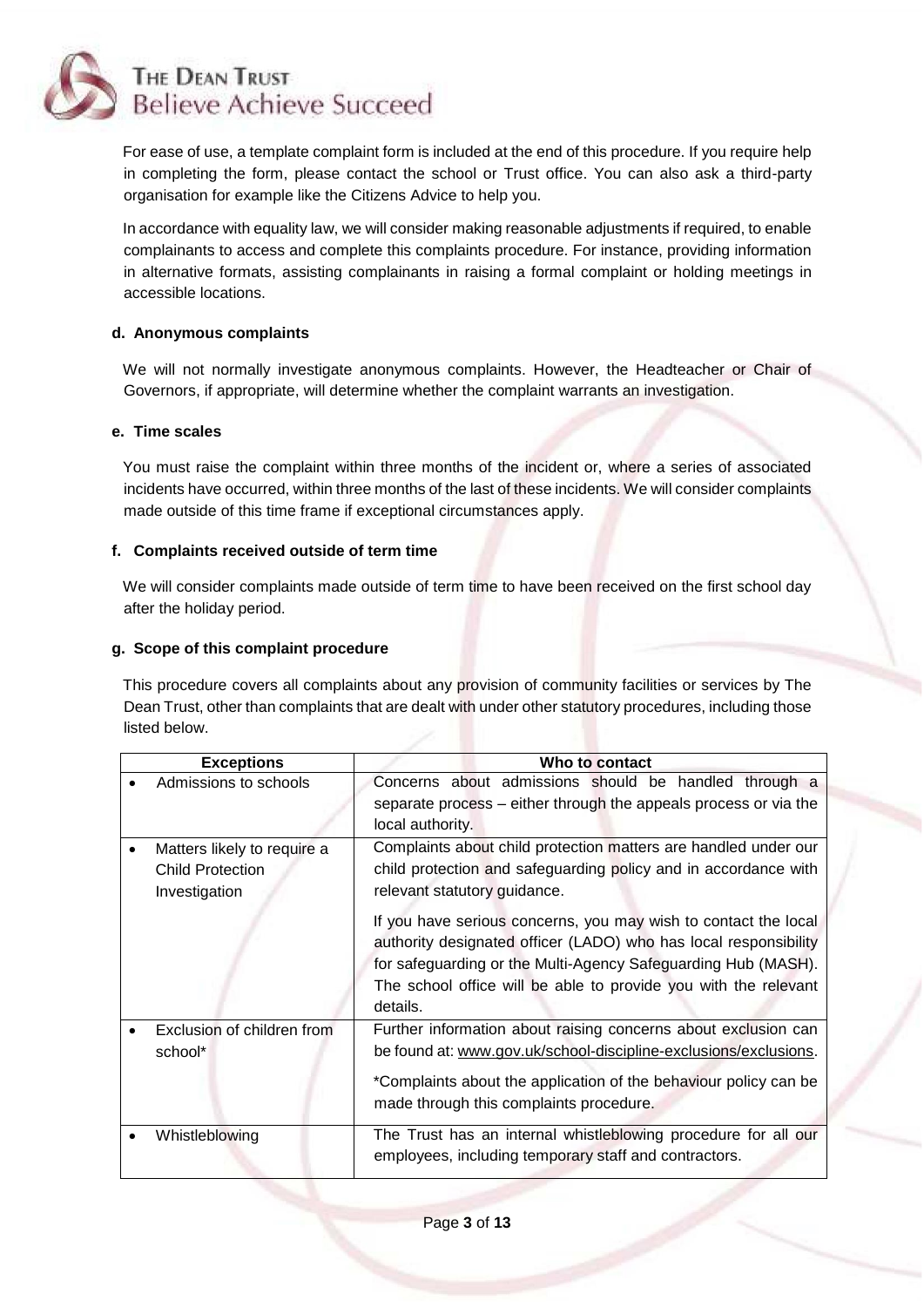

For ease of use, a template complaint form is included at the end of this procedure. If you require help in completing the form, please contact the school or Trust office. You can also ask a third-party organisation for example like the Citizens Advice to help you.

In accordance with equality law, we will consider making reasonable adjustments if required, to enable complainants to access and complete this complaints procedure. For instance, providing information in alternative formats, assisting complainants in raising a formal complaint or holding meetings in accessible locations.

# **d. Anonymous complaints**

We will not normally investigate anonymous complaints. However, the Headteacher or Chair of Governors, if appropriate, will determine whether the complaint warrants an investigation.

# **e. Time scales**

You must raise the complaint within three months of the incident or, where a series of associated incidents have occurred, within three months of the last of these incidents. We will consider complaints made outside of this time frame if exceptional circumstances apply.

# **f. Complaints received outside of term time**

We will consider complaints made outside of term time to have been received on the first school day after the holiday period.

### **g. Scope of this complaint procedure**

This procedure covers all complaints about any provision of community facilities or services by The Dean Trust, other than complaints that are dealt with under other statutory procedures, including those listed below.

| <b>Exceptions</b> |                                                                         | Who to contact                                                                                                                                                                                                                                                                      |
|-------------------|-------------------------------------------------------------------------|-------------------------------------------------------------------------------------------------------------------------------------------------------------------------------------------------------------------------------------------------------------------------------------|
|                   | Admissions to schools                                                   | Concerns about admissions should be handled through a<br>separate process – either through the appeals process or via the                                                                                                                                                           |
|                   |                                                                         | local authority.                                                                                                                                                                                                                                                                    |
|                   | Matters likely to require a<br><b>Child Protection</b><br>Investigation | Complaints about child protection matters are handled under our<br>child protection and safeguarding policy and in accordance with<br>relevant statutory guidance.                                                                                                                  |
|                   |                                                                         | If you have serious concerns, you may wish to contact the local<br>authority designated officer (LADO) who has local responsibility<br>for safeguarding or the Multi-Agency Safeguarding Hub (MASH).<br>The school office will be able to provide you with the relevant<br>details. |
|                   | Exclusion of children from<br>school*                                   | Further information about raising concerns about exclusion can<br>be found at: www.gov.uk/school-discipline-exclusions/exclusions.<br>*Complaints about the application of the behaviour policy can be<br>made through this complaints procedure.                                   |
|                   | Whistleblowing                                                          | The Trust has an internal whistleblowing procedure for all our<br>employees, including temporary staff and contractors.                                                                                                                                                             |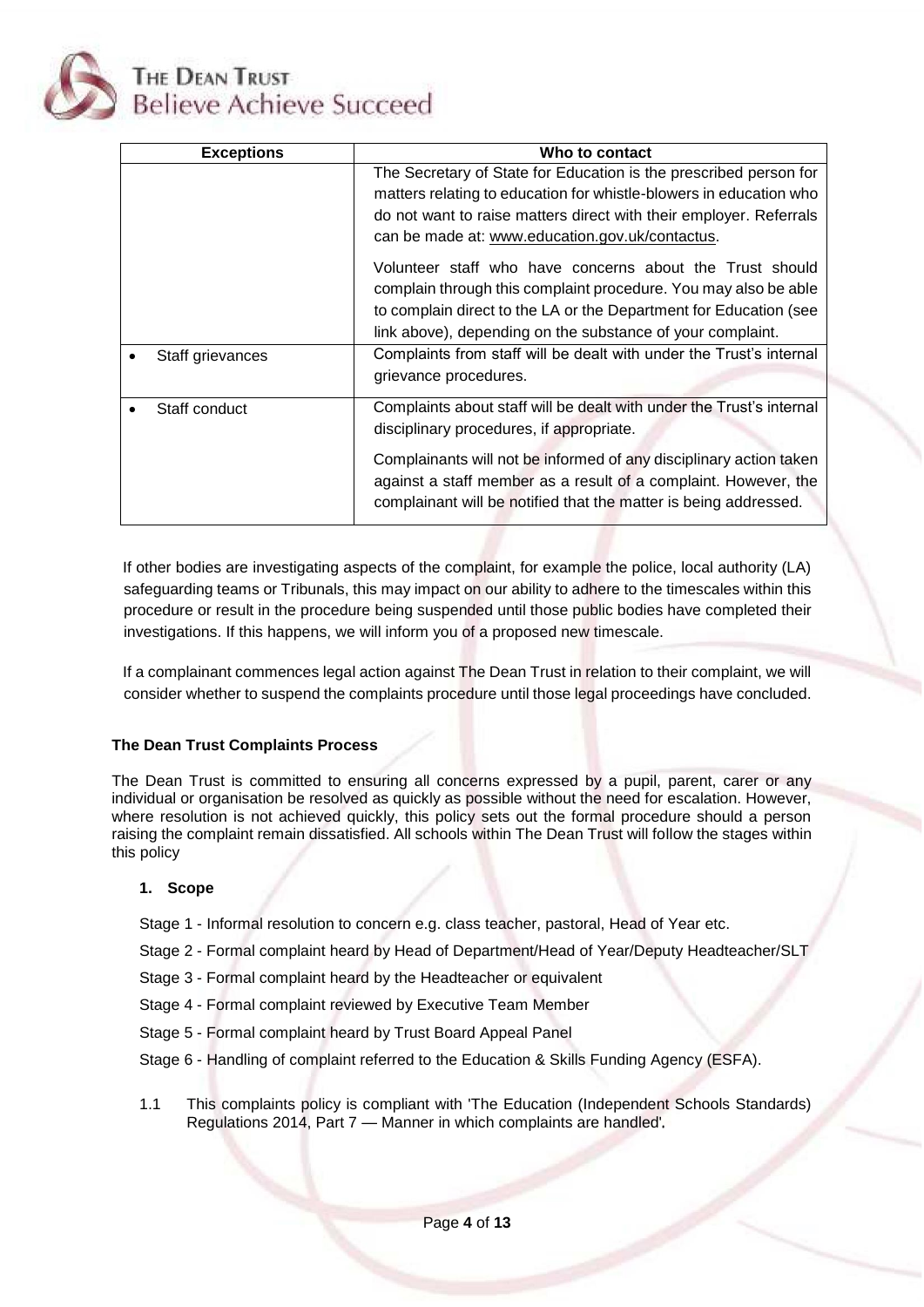

| <b>Exceptions</b> | Who to contact                                                                                                                                                                                                                                                   |
|-------------------|------------------------------------------------------------------------------------------------------------------------------------------------------------------------------------------------------------------------------------------------------------------|
|                   | The Secretary of State for Education is the prescribed person for<br>matters relating to education for whistle-blowers in education who<br>do not want to raise matters direct with their employer. Referrals<br>can be made at: www.education.gov.uk/contactus. |
|                   | Volunteer staff who have concerns about the Trust should<br>complain through this complaint procedure. You may also be able<br>to complain direct to the LA or the Department for Education (see<br>link above), depending on the substance of your complaint.   |
| Staff grievances  | Complaints from staff will be dealt with under the Trust's internal<br>grievance procedures.                                                                                                                                                                     |
| Staff conduct     | Complaints about staff will be dealt with under the Trust's internal<br>disciplinary procedures, if appropriate.                                                                                                                                                 |
|                   | Complainants will not be informed of any disciplinary action taken<br>against a staff member as a result of a complaint. However, the<br>complainant will be notified that the matter is being addressed.                                                        |

If other bodies are investigating aspects of the complaint, for example the police, local authority (LA) safeguarding teams or Tribunals, this may impact on our ability to adhere to the timescales within this procedure or result in the procedure being suspended until those public bodies have completed their investigations. If this happens, we will inform you of a proposed new timescale.

If a complainant commences legal action against The Dean Trust in relation to their complaint, we will consider whether to suspend the complaints procedure until those legal proceedings have concluded.

# **The Dean Trust Complaints Process**

The Dean Trust is committed to ensuring all concerns expressed by a pupil, parent, carer or any individual or organisation be resolved as quickly as possible without the need for escalation. However, where resolution is not achieved quickly, this policy sets out the formal procedure should a person raising the complaint remain dissatisfied. All schools within The Dean Trust will follow the stages within this policy

# **1. Scope**

- Stage 1 Informal resolution to concern e.g. class teacher, pastoral, Head of Year etc.
- Stage 2 Formal complaint heard by Head of Department/Head of Year/Deputy Headteacher/SLT
- Stage 3 Formal complaint heard by the Headteacher or equivalent
- Stage 4 Formal complaint reviewed by Executive Team Member
- Stage 5 Formal complaint heard by Trust Board Appeal Panel
- Stage 6 Handling of complaint referred to the Education & Skills Funding Agency (ESFA).
- 1.1 This complaints policy is compliant with 'The Education (Independent Schools Standards) Regulations 2014, Part 7 — Manner in which complaints are handled'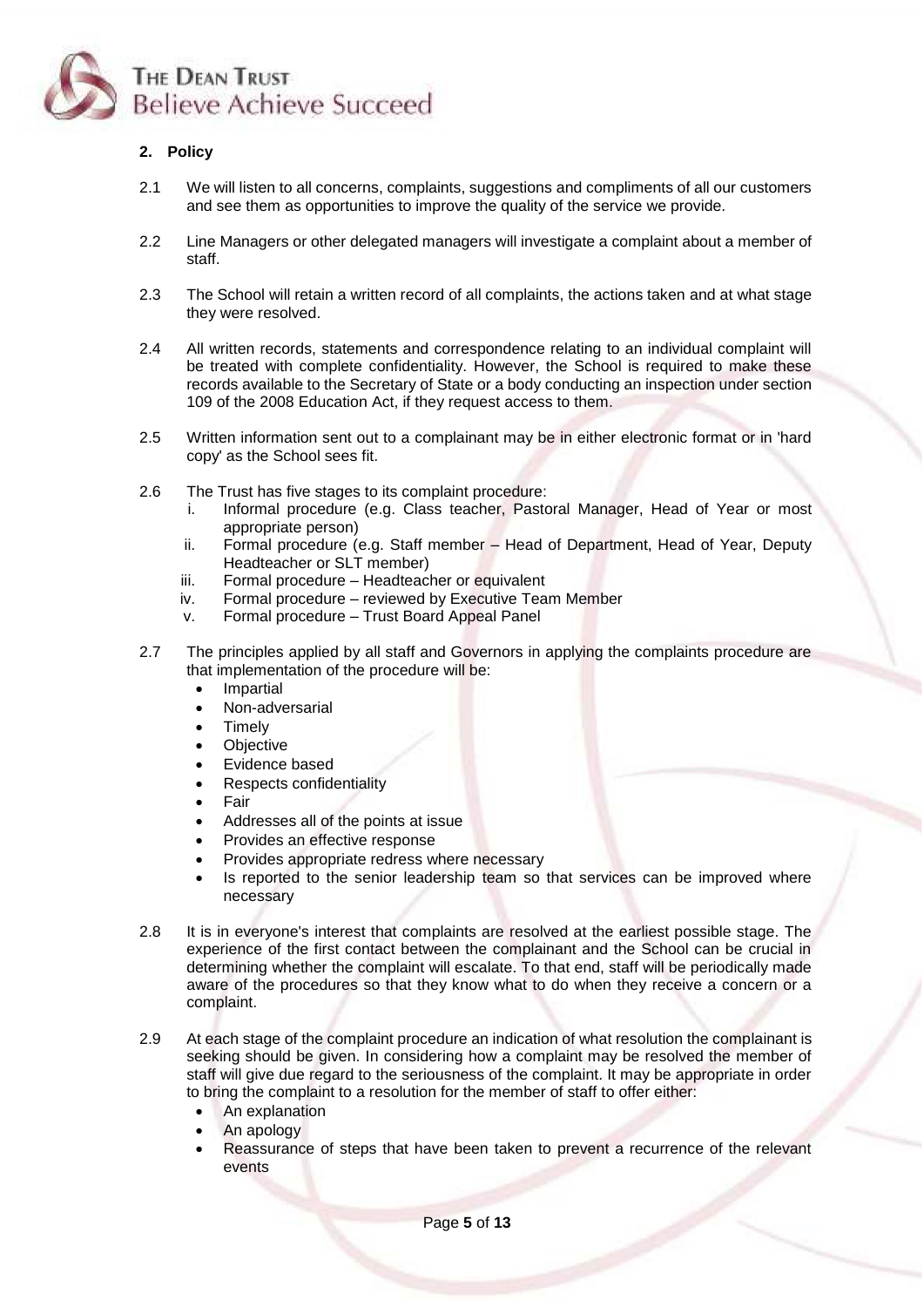

# **2. Policy**

- 2.1 We will listen to all concerns, complaints, suggestions and compliments of all our customers and see them as opportunities to improve the quality of the service we provide.
- 2.2 Line Managers or other delegated managers will investigate a complaint about a member of staff.
- 2.3 The School will retain a written record of all complaints, the actions taken and at what stage they were resolved.
- 2.4 All written records, statements and correspondence relating to an individual complaint will be treated with complete confidentiality. However, the School is required to make these records available to the Secretary of State or a body conducting an inspection under section 109 of the 2008 Education Act, if they request access to them.
- 2.5 Written information sent out to a complainant may be in either electronic format or in 'hard copy' as the School sees fit.
- 2.6 The Trust has five stages to its complaint procedure:
	- i. Informal procedure (e.g. Class teacher, Pastoral Manager, Head of Year or most appropriate person)
	- ii. Formal procedure (e.g. Staff member Head of Department, Head of Year, Deputy Headteacher or SLT member)
	- iii. Formal procedure Headteacher or equivalent
	- iv. Formal procedure reviewed by Executive Team Member
	- v. Formal procedure Trust Board Appeal Panel
- 2.7 The principles applied by all staff and Governors in applying the complaints procedure are that implementation of the procedure will be:
	- Impartial
	- Non-adversarial
	- **Timely**
	- **Objective**
	- Evidence based
	- Respects confidentiality
	- **Fair**
	- Addresses all of the points at issue
	- Provides an effective response
	- Provides appropriate redress where necessary
	- Is reported to the senior leadership team so that services can be improved where necessary
- 2.8 It is in everyone's interest that complaints are resolved at the earliest possible stage. The experience of the first contact between the complainant and the School can be crucial in determining whether the complaint will escalate. To that end, staff will be periodically made aware of the procedures so that they know what to do when they receive a concern or a complaint.
- 2.9 At each stage of the complaint procedure an indication of what resolution the complainant is seeking should be given. In considering how a complaint may be resolved the member of staff will give due regard to the seriousness of the complaint. It may be appropriate in order to bring the complaint to a resolution for the member of staff to offer either:
	- An explanation
	- An apology
	- Reassurance of steps that have been taken to prevent a recurrence of the relevant events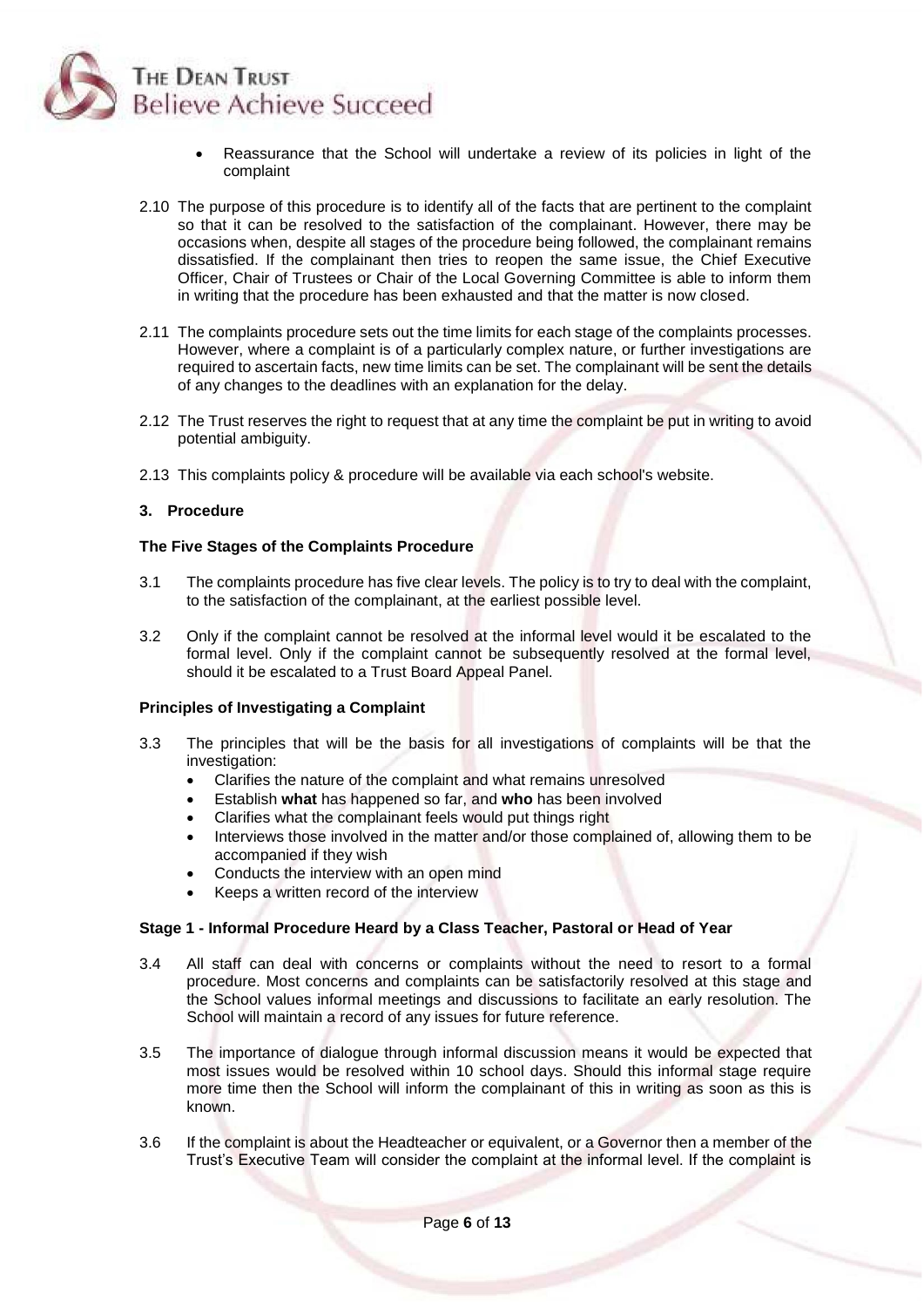

- Reassurance that the School will undertake a review of its policies in light of the complaint
- 2.10 The purpose of this procedure is to identify all of the facts that are pertinent to the complaint so that it can be resolved to the satisfaction of the complainant. However, there may be occasions when, despite all stages of the procedure being followed, the complainant remains dissatisfied. If the complainant then tries to reopen the same issue, the Chief Executive Officer, Chair of Trustees or Chair of the Local Governing Committee is able to inform them in writing that the procedure has been exhausted and that the matter is now closed.
- 2.11 The complaints procedure sets out the time limits for each stage of the complaints processes. However, where a complaint is of a particularly complex nature, or further investigations are required to ascertain facts, new time limits can be set. The complainant will be sent the details of any changes to the deadlines with an explanation for the delay.
- 2.12 The Trust reserves the right to request that at any time the complaint be put in writing to avoid potential ambiguity.
- 2.13 This complaints policy & procedure will be available via each school's website.

#### **3. Procedure**

#### **The Five Stages of the Complaints Procedure**

- 3.1 The complaints procedure has five clear levels. The policy is to try to deal with the complaint, to the satisfaction of the complainant, at the earliest possible level.
- 3.2 Only if the complaint cannot be resolved at the informal level would it be escalated to the formal level. Only if the complaint cannot be subsequently resolved at the formal level, should it be escalated to a Trust Board Appeal Panel.

### **Principles of Investigating a Complaint**

- 3.3 The principles that will be the basis for all investigations of complaints will be that the investigation:
	- Clarifies the nature of the complaint and what remains unresolved
	- Establish **what** has happened so far, and **who** has been involved
	- Clarifies what the complainant feels would put things right
	- Interviews those involved in the matter and/or those complained of, allowing them to be accompanied if they wish
	- Conducts the interview with an open mind
	- Keeps a written record of the interview

#### **Stage 1 - Informal Procedure Heard by a Class Teacher, Pastoral or Head of Year**

- 3.4 All staff can deal with concerns or complaints without the need to resort to a formal procedure. Most concerns and complaints can be satisfactorily resolved at this stage and the School values informal meetings and discussions to facilitate an early resolution. The School will maintain a record of any issues for future reference.
- 3.5 The importance of dialogue through informal discussion means it would be expected that most issues would be resolved within 10 school days. Should this informal stage require more time then the School will inform the complainant of this in writing as soon as this is known.
- 3.6 If the complaint is about the Headteacher or equivalent, or a Governor then a member of the Trust's Executive Team will consider the complaint at the informal level. If the complaint is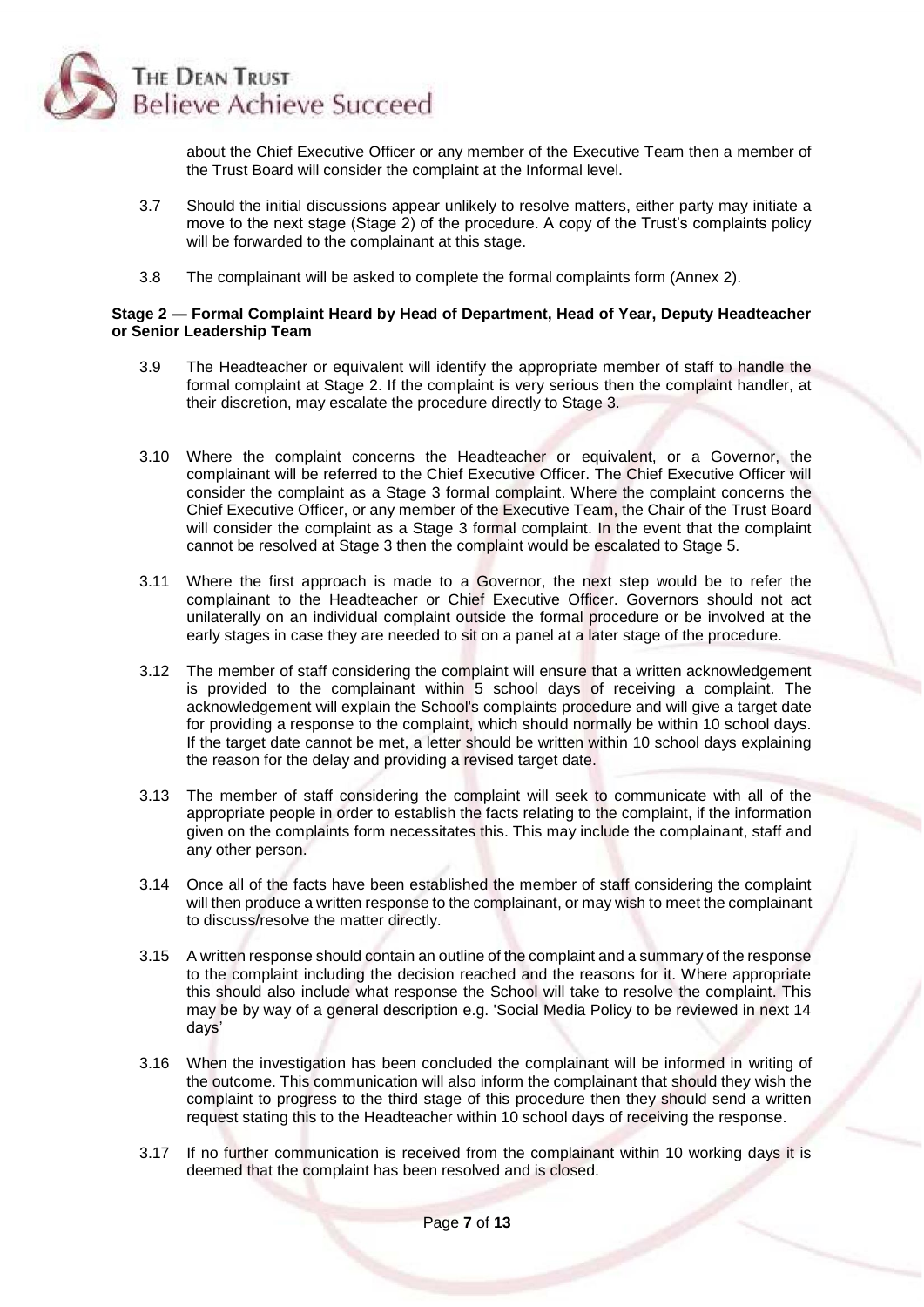

about the Chief Executive Officer or any member of the Executive Team then a member of the Trust Board will consider the complaint at the Informal level.

- 3.7 Should the initial discussions appear unlikely to resolve matters, either party may initiate a move to the next stage (Stage 2) of the procedure. A copy of the Trust's complaints policy will be forwarded to the complainant at this stage.
- 3.8 The complainant will be asked to complete the formal complaints form (Annex 2).

#### **Stage 2 — Formal Complaint Heard by Head of Department, Head of Year, Deputy Headteacher or Senior Leadership Team**

- 3.9 The Headteacher or equivalent will identify the appropriate member of staff to handle the formal complaint at Stage 2. If the complaint is very serious then the complaint handler, at their discretion, may escalate the procedure directly to Stage 3.
- 3.10 Where the complaint concerns the Headteacher or equivalent, or a Governor, the complainant will be referred to the Chief Executive Officer. The Chief Executive Officer will consider the complaint as a Stage 3 formal complaint. Where the complaint concerns the Chief Executive Officer, or any member of the Executive Team, the Chair of the Trust Board will consider the complaint as a Stage 3 formal complaint. In the event that the complaint cannot be resolved at Stage 3 then the complaint would be escalated to Stage 5.
- 3.11 Where the first approach is made to a Governor, the next step would be to refer the complainant to the Headteacher or Chief Executive Officer. Governors should not act unilaterally on an individual complaint outside the formal procedure or be involved at the early stages in case they are needed to sit on a panel at a later stage of the procedure.
- 3.12 The member of staff considering the complaint will ensure that a written acknowledgement is provided to the complainant within 5 school days of receiving a complaint. The acknowledgement will explain the School's complaints procedure and will give a target date for providing a response to the complaint, which should normally be within 10 school days. If the target date cannot be met, a letter should be written within 10 school days explaining the reason for the delay and providing a revised target date.
- 3.13 The member of staff considering the complaint will seek to communicate with all of the appropriate people in order to establish the facts relating to the complaint, if the information given on the complaints form necessitates this. This may include the complainant, staff and any other person.
- 3.14 Once all of the facts have been established the member of staff considering the complaint will then produce a written response to the complainant, or may wish to meet the complainant to discuss/resolve the matter directly.
- 3.15 A written response should contain an outline of the complaint and a summary of the response to the complaint including the decision reached and the reasons for it. Where appropriate this should also include what response the School will take to resolve the complaint. This may be by way of a general description e.g. 'Social Media Policy to be reviewed in next 14 days'
- 3.16 When the investigation has been concluded the complainant will be informed in writing of the outcome. This communication will also inform the complainant that should they wish the complaint to progress to the third stage of this procedure then they should send a written request stating this to the Headteacher within 10 school days of receiving the response.
- 3.17 If no further communication is received from the complainant within 10 working days it is deemed that the complaint has been resolved and is closed.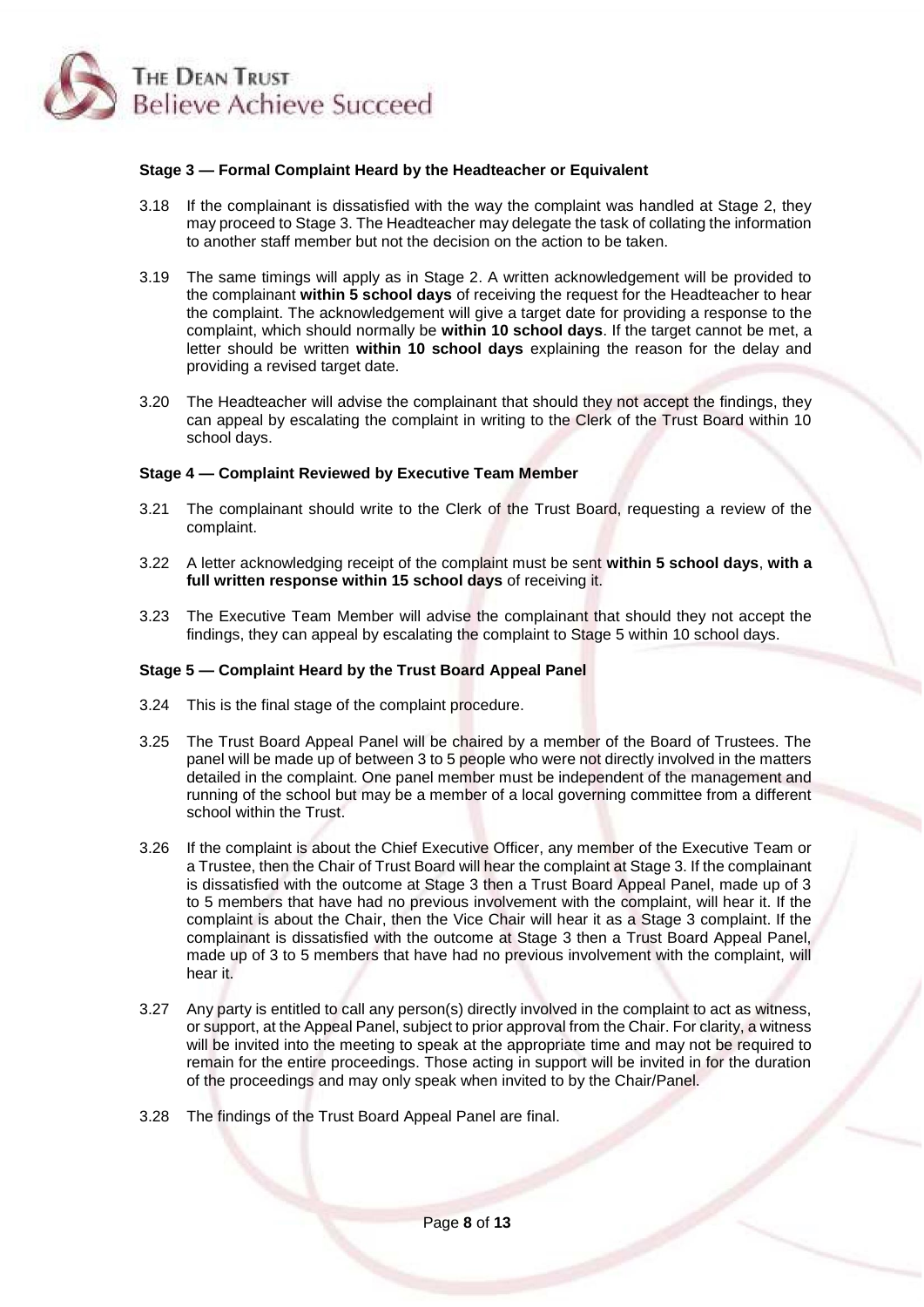

#### **Stage 3 — Formal Complaint Heard by the Headteacher or Equivalent**

- 3.18 If the complainant is dissatisfied with the way the complaint was handled at Stage 2, they may proceed to Stage 3. The Headteacher may delegate the task of collating the information to another staff member but not the decision on the action to be taken.
- 3.19 The same timings will apply as in Stage 2. A written acknowledgement will be provided to the complainant **within 5 school days** of receiving the request for the Headteacher to hear the complaint. The acknowledgement will give a target date for providing a response to the complaint, which should normally be **within 10 school days**. If the target cannot be met, a letter should be written **within 10 school days** explaining the reason for the delay and providing a revised target date.
- 3.20 The Headteacher will advise the complainant that should they not accept the findings, they can appeal by escalating the complaint in writing to the Clerk of the Trust Board within 10 school days.

### **Stage 4 — Complaint Reviewed by Executive Team Member**

- 3.21 The complainant should write to the Clerk of the Trust Board, requesting a review of the complaint.
- 3.22 A letter acknowledging receipt of the complaint must be sent **within 5 school days**, **with a full written response within 15 school days** of receiving it.
- 3.23 The Executive Team Member will advise the complainant that should they not accept the findings, they can appeal by escalating the complaint to Stage 5 within 10 school days.

#### **Stage 5 — Complaint Heard by the Trust Board Appeal Panel**

- 3.24 This is the final stage of the complaint procedure.
- 3.25 The Trust Board Appeal Panel will be chaired by a member of the Board of Trustees. The panel will be made up of between 3 to 5 people who were not directly involved in the matters detailed in the complaint. One panel member must be independent of the management and running of the school but may be a member of a local governing committee from a different school within the Trust.
- 3.26 If the complaint is about the Chief Executive Officer, any member of the Executive Team or a Trustee, then the Chair of Trust Board will hear the complaint at Stage 3. If the complainant is dissatisfied with the outcome at Stage 3 then a Trust Board Appeal Panel, made up of 3 to 5 members that have had no previous involvement with the complaint, will hear it. If the complaint is about the Chair, then the Vice Chair will hear it as a Stage 3 complaint. If the complainant is dissatisfied with the outcome at Stage 3 then a Trust Board Appeal Panel, made up of 3 to 5 members that have had no previous involvement with the complaint, will hear it.
- 3.27 Any party is entitled to call any person(s) directly involved in the complaint to act as witness, or support, at the Appeal Panel, subject to prior approval from the Chair. For clarity, a witness will be invited into the meeting to speak at the appropriate time and may not be required to remain for the entire proceedings. Those acting in support will be invited in for the duration of the proceedings and may only speak when invited to by the Chair/Panel.
- 3.28 The findings of the Trust Board Appeal Panel are final.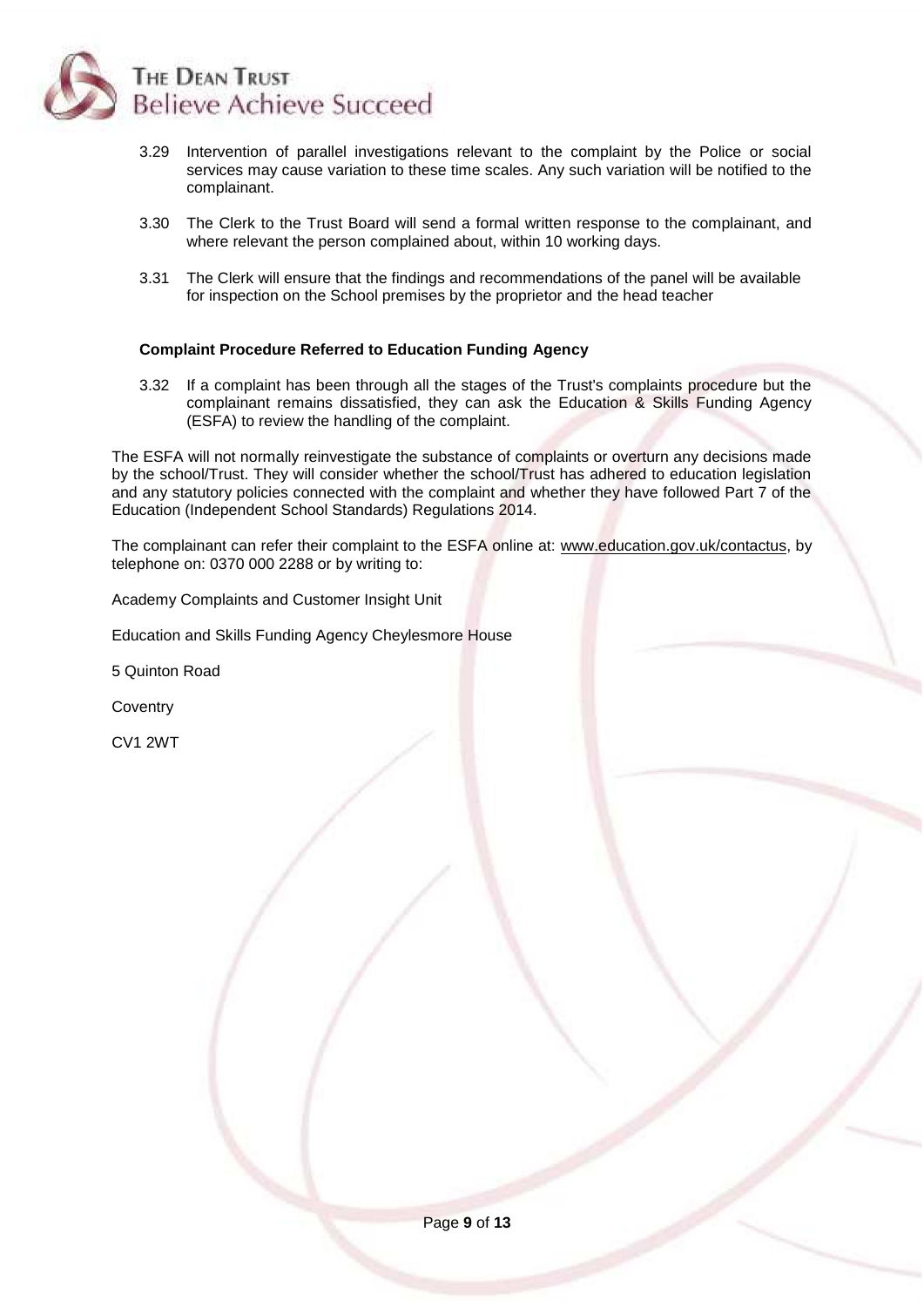

- 3.29 Intervention of parallel investigations relevant to the complaint by the Police or social services may cause variation to these time scales. Any such variation will be notified to the complainant.
- 3.30 The Clerk to the Trust Board will send a formal written response to the complainant, and where relevant the person complained about, within 10 working days.
- 3.31 The Clerk will ensure that the findings and recommendations of the panel will be available for inspection on the School premises by the proprietor and the head teacher

#### **Complaint Procedure Referred to Education Funding Agency**

3.32 If a complaint has been through all the stages of the Trust's complaints procedure but the complainant remains dissatisfied, they can ask the Education & Skills Funding Agency (ESFA) to review the handling of the complaint.

The ESFA will not normally reinvestigate the substance of complaints or overturn any decisions made by the school/Trust. They will consider whether the school/Trust has adhered to education legislation and any statutory policies connected with the complaint and whether they have followed Part 7 of the Education (Independent School Standards) Regulations 2014.

The complainant can refer their complaint to the ESFA online at: [www.education.gov.uk/contactus,](http://www.education.gov.uk/contactus) by telephone on: 0370 000 2288 or by writing to:

Academy Complaints and Customer Insight Unit

Education and Skills Funding Agency Cheylesmore House

5 Quinton Road

**Coventry** 

CV1 2WT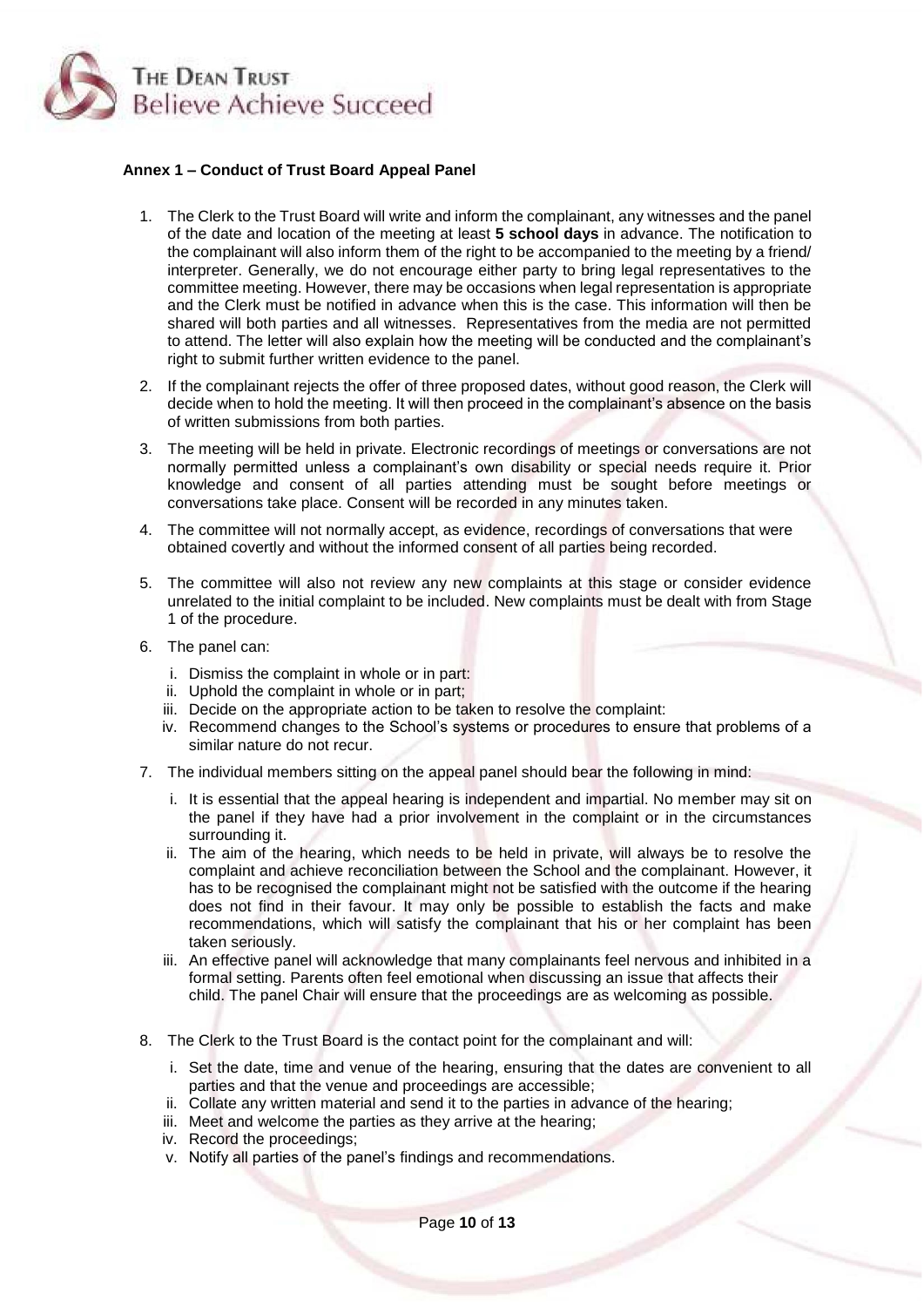

### **Annex 1 – Conduct of Trust Board Appeal Panel**

- 1. The Clerk to the Trust Board will write and inform the complainant, any witnesses and the panel of the date and location of the meeting at least **5 school days** in advance. The notification to the complainant will also inform them of the right to be accompanied to the meeting by a friend/ interpreter. Generally, we do not encourage either party to bring legal representatives to the committee meeting. However, there may be occasions when legal representation is appropriate and the Clerk must be notified in advance when this is the case. This information will then be shared will both parties and all witnesses. Representatives from the media are not permitted to attend. The letter will also explain how the meeting will be conducted and the complainant's right to submit further written evidence to the panel.
- 2. If the complainant rejects the offer of three proposed dates, without good reason, the Clerk will decide when to hold the meeting. It will then proceed in the complainant's absence on the basis of written submissions from both parties.
- 3. The meeting will be held in private. Electronic recordings of meetings or conversations are not normally permitted unless a complainant's own disability or special needs require it. Prior knowledge and consent of all parties attending must be sought before meetings or conversations take place. Consent will be recorded in any minutes taken.
- 4. The committee will not normally accept, as evidence, recordings of conversations that were obtained covertly and without the informed consent of all parties being recorded.
- 5. The committee will also not review any new complaints at this stage or consider evidence unrelated to the initial complaint to be included. New complaints must be dealt with from Stage 1 of the procedure.
- 6. The panel can:
	- i. Dismiss the complaint in whole or in part:
	- ii. Uphold the complaint in whole or in part;
	- iii. Decide on the appropriate action to be taken to resolve the complaint:
	- iv. Recommend changes to the School's systems or procedures to ensure that problems of a similar nature do not recur.
- 7. The individual members sitting on the appeal panel should bear the following in mind:
	- i. It is essential that the appeal hearing is independent and impartial. No member may sit on the panel if they have had a prior involvement in the complaint or in the circumstances surrounding it.
	- ii. The aim of the hearing, which needs to be held in private, will always be to resolve the complaint and achieve reconciliation between the School and the complainant. However, it has to be recognised the complainant might not be satisfied with the outcome if the hearing does not find in their favour. It may only be possible to establish the facts and make recommendations, which will satisfy the complainant that his or her complaint has been taken seriously.
	- iii. An effective panel will acknowledge that many complainants feel nervous and inhibited in a formal setting. Parents often feel emotional when discussing an issue that affects their child. The panel Chair will ensure that the proceedings are as welcoming as possible.
- 8. The Clerk to the Trust Board is the contact point for the complainant and will:
	- i. Set the date, time and venue of the hearing, ensuring that the dates are convenient to all parties and that the venue and proceedings are accessible;
	- ii. Collate any written material and send it to the parties in advance of the hearing;
	- iii. Meet and welcome the parties as they arrive at the hearing;
	- iv. Record the proceedings;
	- v. Notify all parties of the panel's findings and recommendations.

Page **10** of **13**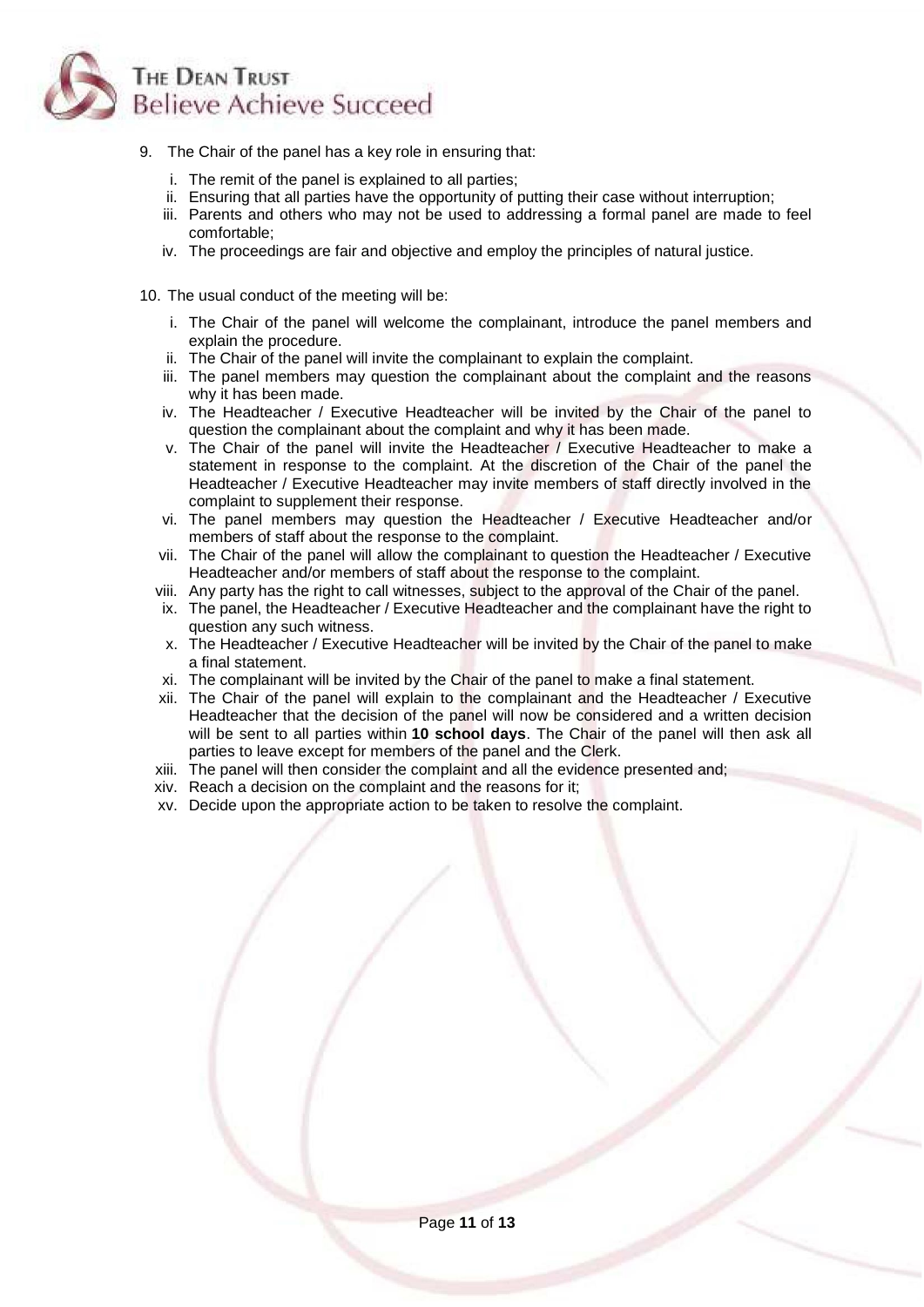

- 9. The Chair of the panel has a key role in ensuring that:
	- i. The remit of the panel is explained to all parties;
	- ii. Ensuring that all parties have the opportunity of putting their case without interruption;
	- iii. Parents and others who may not be used to addressing a formal panel are made to feel comfortable;
	- iv. The proceedings are fair and objective and employ the principles of natural justice.
- 10. The usual conduct of the meeting will be:
	- i. The Chair of the panel will welcome the complainant, introduce the panel members and explain the procedure.
	- ii. The Chair of the panel will invite the complainant to explain the complaint.
	- iii. The panel members may question the complainant about the complaint and the reasons why it has been made.
	- iv. The Headteacher / Executive Headteacher will be invited by the Chair of the panel to question the complainant about the complaint and why it has been made.
	- v. The Chair of the panel will invite the Headteacher / Executive Headteacher to make a statement in response to the complaint. At the discretion of the Chair of the panel the Headteacher / Executive Headteacher may invite members of staff directly involved in the complaint to supplement their response.
	- vi. The panel members may question the Headteacher / Executive Headteacher and/or members of staff about the response to the complaint.
	- vii. The Chair of the panel will allow the complainant to question the Headteacher / Executive Headteacher and/or members of staff about the response to the complaint.
	- viii. Any party has the right to call witnesses, subject to the approval of the Chair of the panel.
	- ix. The panel, the Headteacher / Executive Headteacher and the complainant have the right to question any such witness.
	- x. The Headteacher / Executive Headteacher will be invited by the Chair of the panel to make a final statement.
	- xi. The complainant will be invited by the Chair of the panel to make a final statement.
	- xii. The Chair of the panel will explain to the complainant and the Headteacher / Executive Headteacher that the decision of the panel will now be considered and a written decision will be sent to all parties within **10 school days**. The Chair of the panel will then ask all parties to leave except for members of the panel and the Clerk.
	- xiii. The panel will then consider the complaint and all the evidence presented and;
	- xiv. Reach a decision on the complaint and the reasons for it;
	- xv. Decide upon the appropriate action to be taken to resolve the complaint.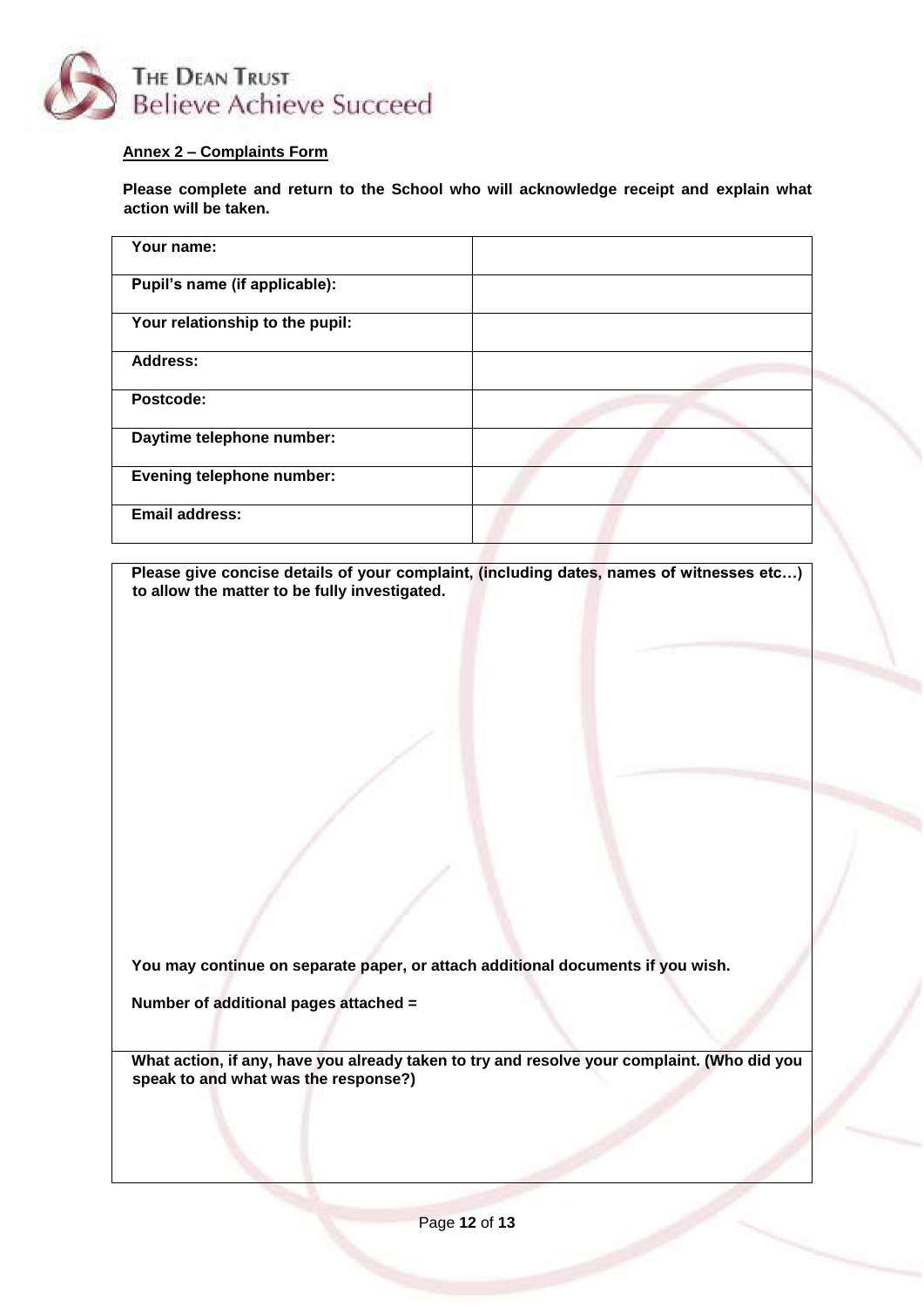

# **Annex 2 – Complaints Form**

**Please complete and return to the School who will acknowledge receipt and explain what action will be taken.**

**Please give concise details of your complaint, (including dates, names of witnesses etc…) to allow the matter to be fully investigated.**

**You may continue on separate paper, or attach additional documents if you wish.**

**Number of additional pages attached =** 

**What action, if any, have you already taken to try and resolve your complaint. (Who did you speak to and what was the response?)**